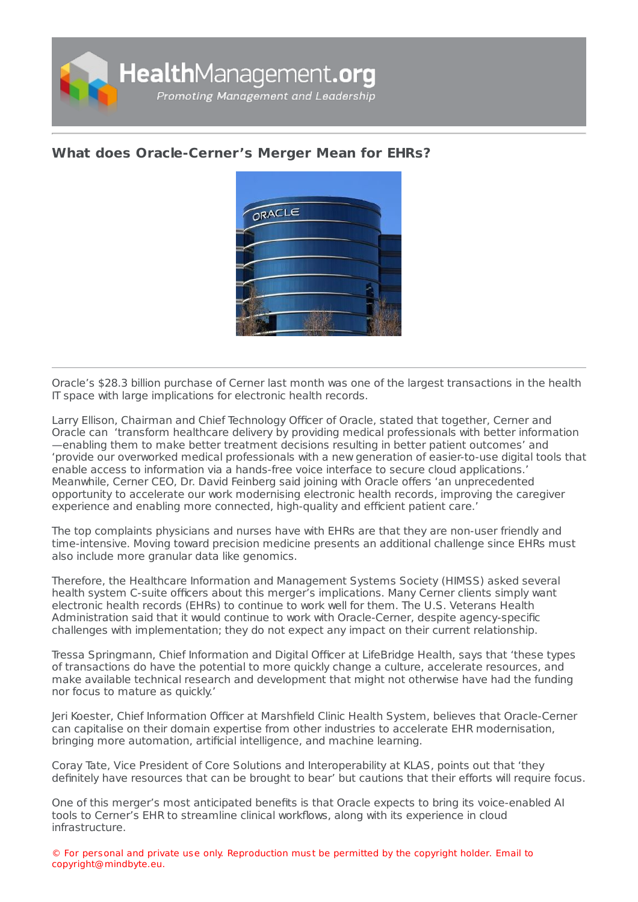

## **What does [Oracle-Cerner's](https://healthmanagement.org/s/what-does-oracle-cerners-merger-mean-for-ehrs) Merger Mean for EHRs?**



Oracle's \$28.3 billion purchase of Cerner last month was one of the largest transactions in the health IT space with large implications for electronic health records.

Larry Ellison, Chairman and Chief Technology Officer of Oracle, stated that together, Cerner and Oracle can 'transform healthcare delivery by providing medical professionals with better information —enabling them to make better treatment decisions resulting in better patient outcomes' and 'provide our overworked medical professionals with a new generation of easier-to-use digital tools that enable access to information via a hands-free voice interface to secure cloud applications.' Meanwhile, Cerner CEO, Dr. David Feinberg said joining with Oracle offers 'an unprecedented opportunity to accelerate our work modernising electronic health records, improving the caregiver experience and enabling more connected, high-quality and efficient patient care.'

The top complaints physicians and nurses have with EHRs are that they are non-user friendly and time-intensive. Moving toward precision medicine presents an additional challenge since EHRs must also include more granular data like genomics.

Therefore, the Healthcare Information and Management Systems Society (HIMSS) asked several health system C-suite officers about this merger's implications. Many Cerner clients simply want electronic health records (EHRs) to continue to work well for them. The U.S. Veterans Health Administration said that it would continue to work with Oracle-Cerner, despite agency-specific challenges with implementation; they do not expect any impact on their current relationship.

Tressa Springmann, Chief Information and Digital Officer at LifeBridge Health, says that 'these types of transactions do have the potential to more quickly change a culture, accelerate resources, and make available technical research and development that might not otherwise have had the funding nor focus to mature as quickly.'

Jeri Koester, Chief Information Officer at Marshfield Clinic Health System, believes that Oracle-Cerner can capitalise on their domain expertise from other industries to accelerate EHR modernisation, bringing more automation, artificial intelligence, and machine learning.

Coray Tate, Vice President of Core Solutions and Interoperability at KLAS, points out that 'they definitely have resources that can be brought to bear' but cautions that their efforts will require focus.

One of this merger's most anticipated benefits is that Oracle expects to bring its voice-enabled AI tools to Cerner's EHR to streamline clinical workflows, along with its experience in cloud infrastructure.

© For personal and private use only. Reproduction must be permitted by the copyright holder. Email to copyright@mindbyte.eu.